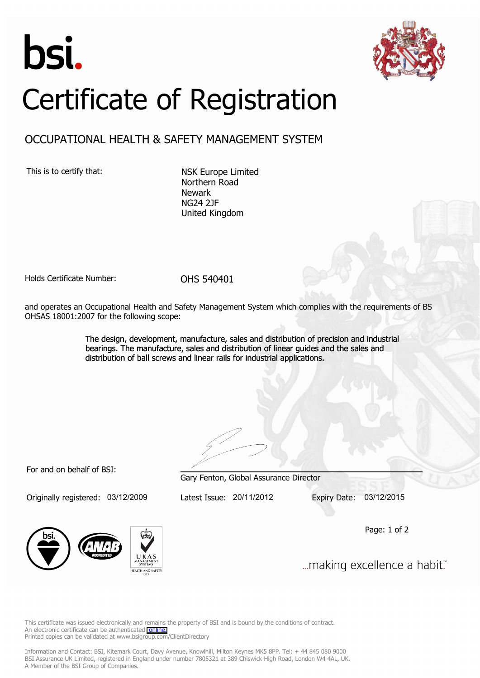



## Certificate of Registration

## OCCUPATIONAL HEALTH & SAFETY MANAGEMENT SYSTEM

This is to certify that: NSK Europe Limited

Northern Road Newark NG24 2JF United Kingdom

Holds Certificate Number: OHS 540401

and operates an Occupational Health and Safety Management System which complies with the requirements of BS OHSAS 18001:2007 for the following scope:

> The design, development, manufacture, sales and distribution of precision and industrial bearings. The manufacture, sales and distribution of linear guides and the sales and distribution of ball screws and linear rails for industrial applications.

For and on behalf of BSI:

Originally registered: 03/12/2009 Latest Issue: 20/11/2012 Expiry Date: 03/12/2015

Gary Fenton, Global Assurance Director

Page: 1 of 2



... making excellence a habit."

This certificate was issued electronically and remains the property of BSI and is bound by the conditions of contract. An electronic certificate can be authenticated [online.](https://pgplus.bsigroup.com/cert/default.asp?certnumber=OHS+540401&crdate=20%2F11%2F2012&certtemplate=uk) Printed copies can be validated at www.bsigroup.com/ClientDirectory

Information and Contact: BSI, Kitemark Court, Davy Avenue, Knowlhill, Milton Keynes MK5 8PP. Tel: + 44 845 080 9000 BSI Assurance UK Limited, registered in England under number 7805321 at 389 Chiswick High Road, London W4 4AL, UK. A Member of the BSI Group of Companies.